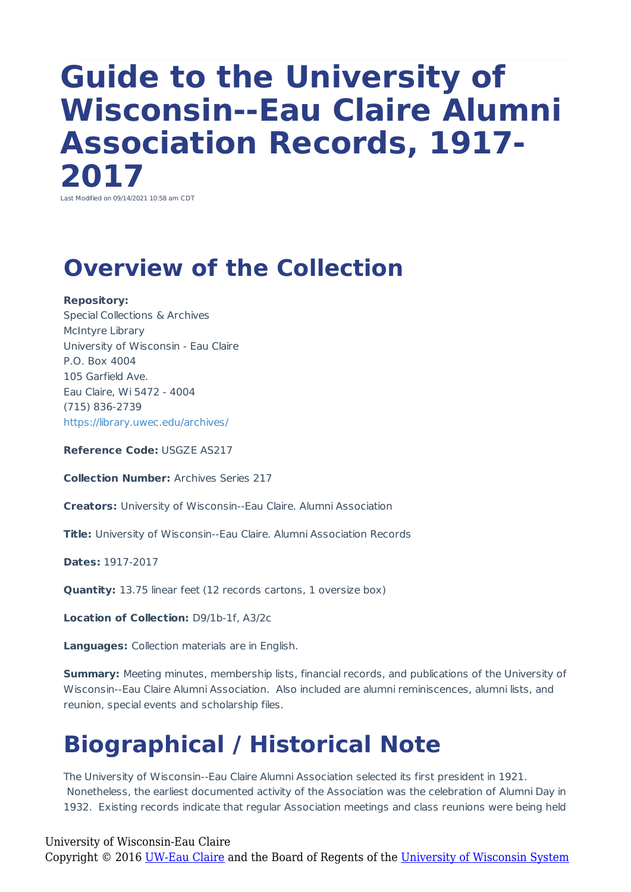# **Guide to the University of Wisconsin--Eau Claire Alumni Association Records, 1917- 2017**

Last Modified on 09/14/2021 10:58 am CDT

### **Overview of the Collection**

#### **Repository:**

Special Collections & Archives McIntyre Library University of Wisconsin - Eau Claire P.O. Box 4004 105 Garfield Ave. Eau Claire, Wi 5472 - 4004 (715) 836-2739 https://library.uwec.edu/archives/

**Reference Code:** USGZE AS217

**Collection Number:** Archives Series 217

**Creators:** University of Wisconsin--Eau Claire. Alumni Association

**Title:** University of Wisconsin--Eau Claire. Alumni Association Records

**Dates:** 1917-2017

**Quantity:** 13.75 linear feet (12 records cartons, 1 oversize box)

**Location of Collection:** D9/1b-1f, A3/2c

**Languages:** Collection materials are in English.

**Summary:** Meeting minutes, membership lists, financial records, and publications of the University of Wisconsin--Eau Claire Alumni Association. Also included are alumni reminiscences, alumni lists, and reunion, special events and scholarship files.

## **Biographical / Historical Note**

The University of Wisconsin--Eau Claire Alumni Association selected its first president in 1921. Nonetheless, the earliest documented activity of the Association was the celebration of Alumni Day in 1932. Existing records indicate that regular Association meetings and class reunions were being held

University of Wisconsin-Eau Claire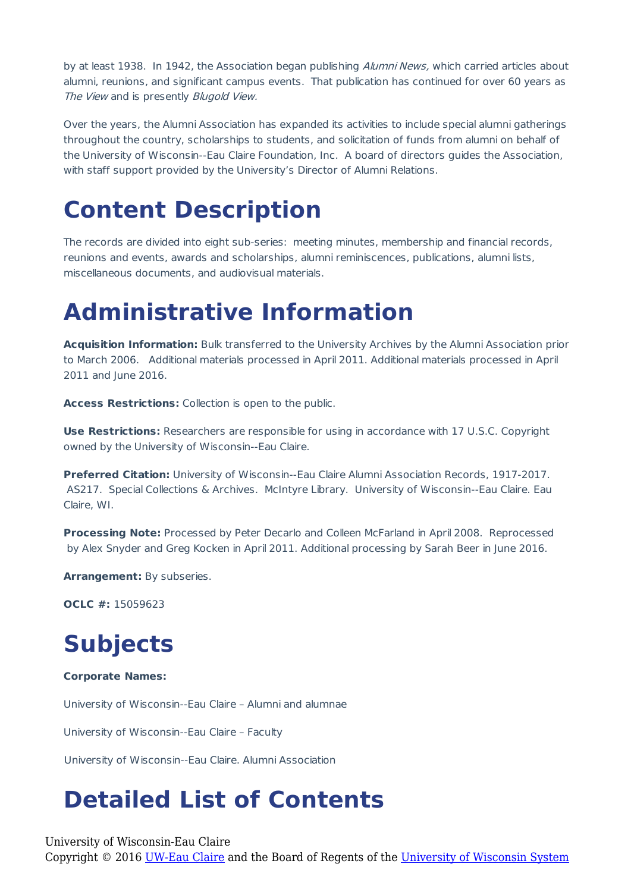by at least 1938. In 1942, the Association began publishing Alumni News, which carried articles about alumni, reunions, and significant campus events. That publication has continued for over 60 years as The View and is presently Blugold View.

Over the years, the Alumni Association has expanded its activities to include special alumni gatherings throughout the country, scholarships to students, and solicitation of funds from alumni on behalf of the University of Wisconsin--Eau Claire Foundation, Inc. A board of directors guides the Association, with staff support provided by the University's Director of Alumni Relations.

### **Content Description**

The records are divided into eight sub-series: meeting minutes, membership and financial records, reunions and events, awards and scholarships, alumni reminiscences, publications, alumni lists, miscellaneous documents, and audiovisual materials.

### **Administrative Information**

**Acquisition Information:** Bulk transferred to the University Archives by the Alumni Association prior to March 2006. Additional materials processed in April 2011. Additional materials processed in April 2011 and June 2016.

**Access Restrictions:** Collection is open to the public.

**Use Restrictions:** Researchers are responsible for using in accordance with 17 U.S.C. Copyright owned by the University of Wisconsin--Eau Claire.

**Preferred Citation:** University of Wisconsin--Eau Claire Alumni Association Records, 1917-2017. AS217. Special Collections & Archives. McIntyre Library. University of Wisconsin--Eau Claire. Eau Claire, WI.

**Processing Note:** Processed by Peter Decarlo and Colleen McFarland in April 2008. Reprocessed by Alex Snyder and Greg Kocken in April 2011. Additional processing by Sarah Beer in June 2016.

**Arrangement:** By subseries.

**OCLC #:** 15059623

### **Subjects**

#### **Corporate Names:**

University of Wisconsin--Eau Claire – Alumni and alumnae

University of Wisconsin--Eau Claire – Faculty

University of Wisconsin--Eau Claire. Alumni Association

### **Detailed List of Contents**

University of Wisconsin-Eau Claire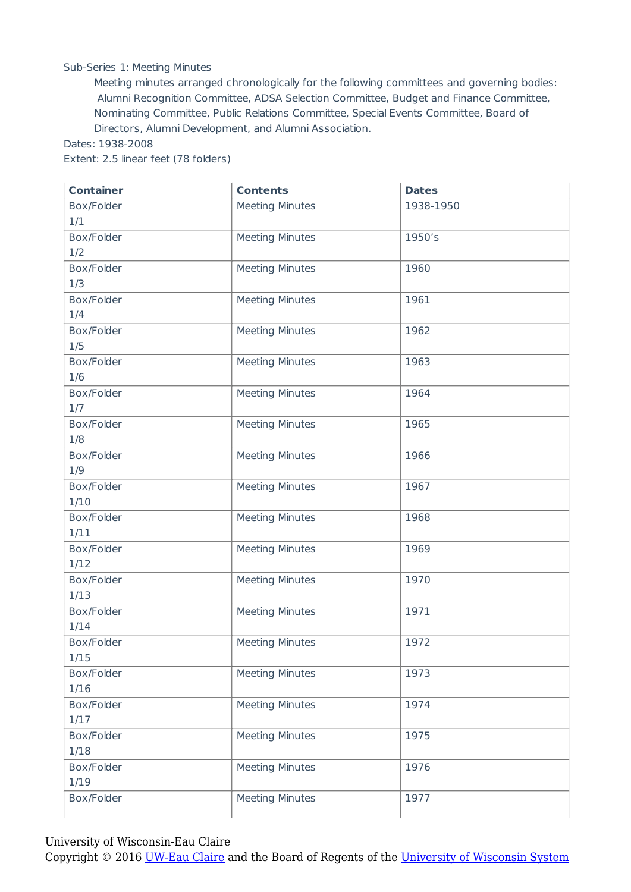#### Sub-Series 1: Meeting Minutes

Meeting minutes arranged chronologically for the following committees and governing bodies: Alumni Recognition Committee, ADSA Selection Committee, Budget and Finance Committee, Nominating Committee, Public Relations Committee, Special Events Committee, Board of Directors, Alumni Development, and Alumni Association.

Dates: 1938-2008

Extent: 2.5 linear feet (78 folders)

| <b>Container</b> | <b>Contents</b>        | <b>Dates</b> |
|------------------|------------------------|--------------|
| Box/Folder       | <b>Meeting Minutes</b> | 1938-1950    |
| 1/1              |                        |              |
| Box/Folder       | <b>Meeting Minutes</b> | 1950's       |
| 1/2              |                        |              |
| Box/Folder       | <b>Meeting Minutes</b> | 1960         |
| 1/3              |                        |              |
| Box/Folder       | <b>Meeting Minutes</b> | 1961         |
| 1/4              |                        |              |
| Box/Folder       | <b>Meeting Minutes</b> | 1962         |
| 1/5              |                        |              |
| Box/Folder       | <b>Meeting Minutes</b> | 1963         |
| 1/6              |                        |              |
| Box/Folder       | <b>Meeting Minutes</b> | 1964         |
| 1/7              |                        |              |
| Box/Folder       | <b>Meeting Minutes</b> | 1965         |
| 1/8              |                        |              |
| Box/Folder       | <b>Meeting Minutes</b> | 1966         |
| 1/9              |                        |              |
| Box/Folder       | <b>Meeting Minutes</b> | 1967         |
| 1/10             |                        |              |
| Box/Folder       | <b>Meeting Minutes</b> | 1968         |
| 1/11             |                        |              |
| Box/Folder       | <b>Meeting Minutes</b> | 1969         |
| 1/12             |                        |              |
| Box/Folder       | <b>Meeting Minutes</b> | 1970         |
| 1/13             |                        |              |
| Box/Folder       | <b>Meeting Minutes</b> | 1971         |
| 1/14             |                        |              |
| Box/Folder       | <b>Meeting Minutes</b> | 1972         |
| 1/15             |                        |              |
| Box/Folder       | <b>Meeting Minutes</b> | 1973         |
| 1/16             |                        |              |
| Box/Folder       | <b>Meeting Minutes</b> | 1974         |
| 1/17             |                        |              |
| Box/Folder       | <b>Meeting Minutes</b> | 1975         |
| 1/18             |                        |              |
| Box/Folder       | <b>Meeting Minutes</b> | 1976         |
| 1/19             |                        |              |
| Box/Folder       | <b>Meeting Minutes</b> | 1977         |
|                  |                        |              |

University of Wisconsin-Eau Claire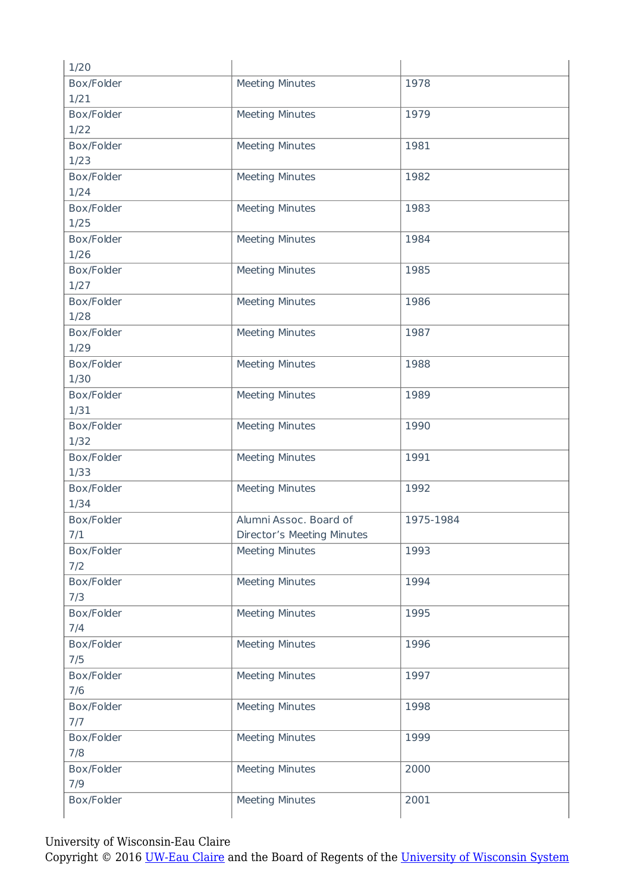| 1/20               |                            |           |
|--------------------|----------------------------|-----------|
| Box/Folder         | <b>Meeting Minutes</b>     | 1978      |
| 1/21               |                            |           |
| Box/Folder         | <b>Meeting Minutes</b>     | 1979      |
| 1/22               |                            |           |
| Box/Folder         | <b>Meeting Minutes</b>     | 1981      |
| 1/23               |                            |           |
| Box/Folder         | <b>Meeting Minutes</b>     | 1982      |
| 1/24               |                            |           |
| Box/Folder         | <b>Meeting Minutes</b>     | 1983      |
| 1/25               |                            |           |
| Box/Folder         | <b>Meeting Minutes</b>     | 1984      |
| 1/26               |                            |           |
| Box/Folder         | <b>Meeting Minutes</b>     | 1985      |
| 1/27               |                            |           |
| Box/Folder         | <b>Meeting Minutes</b>     | 1986      |
| 1/28               |                            |           |
| Box/Folder         | <b>Meeting Minutes</b>     | 1987      |
| 1/29               |                            |           |
| Box/Folder         | <b>Meeting Minutes</b>     | 1988      |
| 1/30               |                            |           |
| Box/Folder         | <b>Meeting Minutes</b>     | 1989      |
| 1/31               |                            |           |
| Box/Folder<br>1/32 | <b>Meeting Minutes</b>     | 1990      |
| Box/Folder         | <b>Meeting Minutes</b>     | 1991      |
| 1/33               |                            |           |
| Box/Folder         | <b>Meeting Minutes</b>     | 1992      |
| 1/34               |                            |           |
| Box/Folder         | Alumni Assoc. Board of     | 1975-1984 |
| 7/1                | Director's Meeting Minutes |           |
| Box/Folder         | <b>Meeting Minutes</b>     | 1993      |
| 7/2                |                            |           |
| Box/Folder         | <b>Meeting Minutes</b>     | 1994      |
| 7/3                |                            |           |
| Box/Folder         | <b>Meeting Minutes</b>     | 1995      |
| 7/4                |                            |           |
| Box/Folder         | <b>Meeting Minutes</b>     | 1996      |
| 7/5                |                            |           |
| Box/Folder         | <b>Meeting Minutes</b>     | 1997      |
| 7/6                |                            |           |
| Box/Folder         | <b>Meeting Minutes</b>     | 1998      |
| 7/7                |                            |           |
| Box/Folder         | <b>Meeting Minutes</b>     | 1999      |
| 7/8                |                            |           |
| Box/Folder         | <b>Meeting Minutes</b>     | 2000      |
| 7/9                |                            |           |
| Box/Folder         | <b>Meeting Minutes</b>     | 2001      |
|                    |                            |           |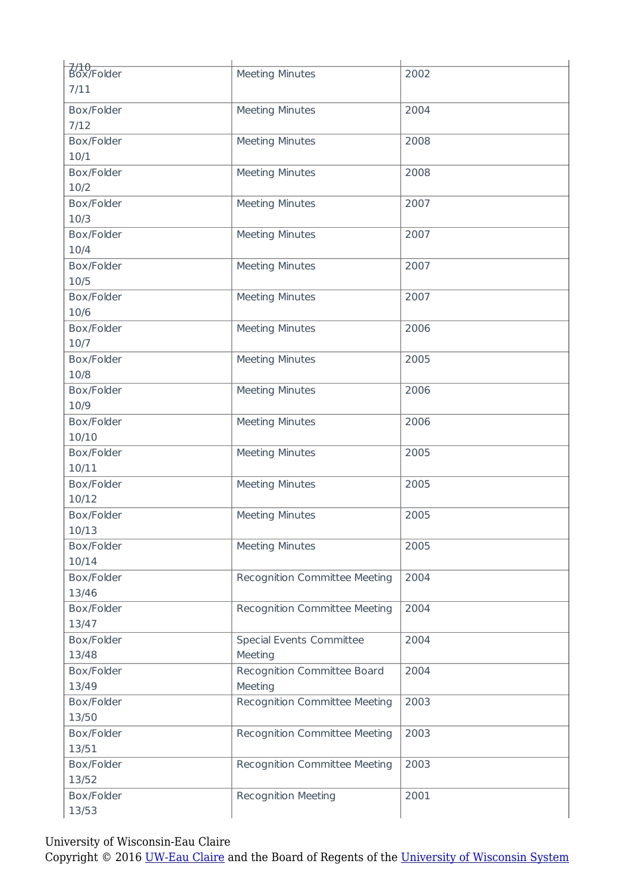| 7/10<br>Box/Folder | <b>Meeting Minutes</b>        | 2002 |
|--------------------|-------------------------------|------|
| 7/11               |                               |      |
| Box/Folder         | <b>Meeting Minutes</b>        | 2004 |
| 7/12               |                               |      |
| Box/Folder         | <b>Meeting Minutes</b>        | 2008 |
| 10/1               |                               |      |
| Box/Folder         | Meeting Minutes               | 2008 |
| 10/2               |                               |      |
| Box/Folder         | <b>Meeting Minutes</b>        | 2007 |
| 10/3               |                               |      |
| Box/Folder         | <b>Meeting Minutes</b>        | 2007 |
| 10/4               |                               |      |
|                    |                               |      |
| Box/Folder         | <b>Meeting Minutes</b>        | 2007 |
| 10/5               |                               |      |
| Box/Folder         | <b>Meeting Minutes</b>        | 2007 |
| 10/6               |                               |      |
| Box/Folder         | <b>Meeting Minutes</b>        | 2006 |
| 10/7               |                               |      |
| Box/Folder         | <b>Meeting Minutes</b>        | 2005 |
| 10/8               |                               |      |
| Box/Folder         | <b>Meeting Minutes</b>        | 2006 |
| 10/9               |                               |      |
| Box/Folder         | <b>Meeting Minutes</b>        | 2006 |
| 10/10              |                               |      |
| Box/Folder         | <b>Meeting Minutes</b>        | 2005 |
| 10/11              |                               |      |
| Box/Folder         | <b>Meeting Minutes</b>        | 2005 |
| 10/12              |                               |      |
| Box/Folder         | <b>Meeting Minutes</b>        | 2005 |
| 10/13              |                               |      |
| Box/Folder         | <b>Meeting Minutes</b>        | 2005 |
| 10/14              |                               |      |
| Box/Folder         | Recognition Committee Meeting | 2004 |
| 13/46              |                               |      |
| Box/Folder         | Recognition Committee Meeting | 2004 |
| 13/47              |                               |      |
| Box/Folder         | Special Events Committee      | 2004 |
| 13/48              | Meeting                       |      |
| Box/Folder         | Recognition Committee Board   | 2004 |
| 13/49              | Meeting                       |      |
| Box/Folder         | Recognition Committee Meeting | 2003 |
| 13/50              |                               |      |
| Box/Folder         |                               | 2003 |
|                    | Recognition Committee Meeting |      |
| 13/51              |                               |      |
| Box/Folder         | Recognition Committee Meeting | 2003 |
| 13/52              |                               |      |
| Box/Folder         | <b>Recognition Meeting</b>    | 2001 |
| 13/53              |                               |      |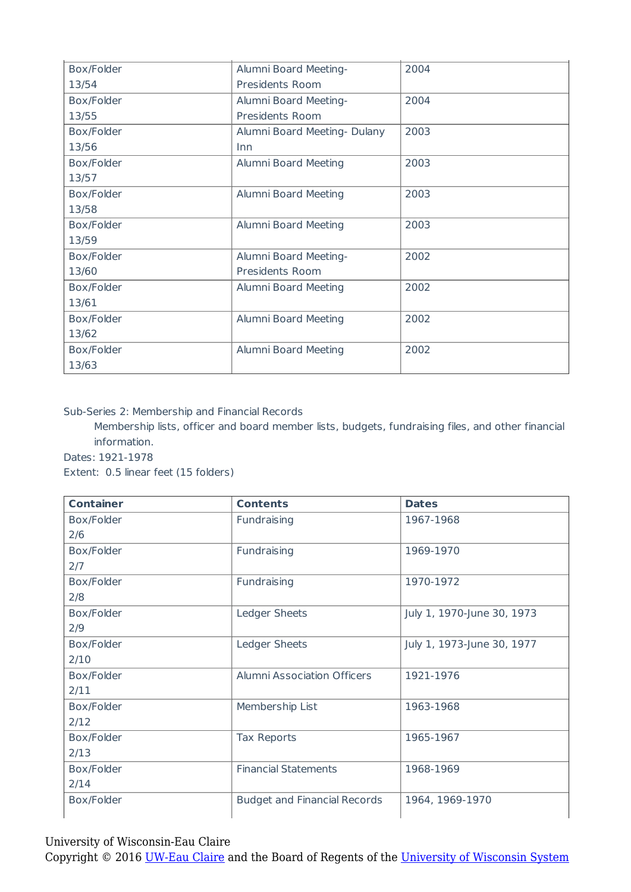| Box/Folder | Alumni Board Meeting-       | 2004 |
|------------|-----------------------------|------|
| 13/54      | Presidents Room             |      |
| Box/Folder | Alumni Board Meeting-       | 2004 |
| 13/55      | Presidents Room             |      |
| Box/Folder | Alumni Board Meeting-Dulany | 2003 |
| 13/56      | Inn                         |      |
| Box/Folder | Alumni Board Meeting        | 2003 |
| 13/57      |                             |      |
| Box/Folder | Alumni Board Meeting        | 2003 |
| 13/58      |                             |      |
| Box/Folder | Alumni Board Meeting        | 2003 |
| 13/59      |                             |      |
| Box/Folder | Alumni Board Meeting-       | 2002 |
| 13/60      | Presidents Room             |      |
| Box/Folder | Alumni Board Meeting        | 2002 |
| 13/61      |                             |      |
| Box/Folder | Alumni Board Meeting        | 2002 |
| 13/62      |                             |      |
| Box/Folder | Alumni Board Meeting        | 2002 |
| 13/63      |                             |      |

Sub-Series 2: Membership and Financial Records

Membership lists, officer and board member lists, budgets, fundraising files, and other financial information.

Dates: 1921-1978

Extent: 0.5 linear feet (15 folders)

| <b>Container</b> | <b>Contents</b>                     | <b>Dates</b>               |
|------------------|-------------------------------------|----------------------------|
| Box/Folder       | Fundraising                         | 1967-1968                  |
| 2/6              |                                     |                            |
| Box/Folder       | Fundraising                         | 1969-1970                  |
| 2/7              |                                     |                            |
| Box/Folder       | Fundraising                         | 1970-1972                  |
| 2/8              |                                     |                            |
| Box/Folder       | Ledger Sheets                       | July 1, 1970-June 30, 1973 |
| 2/9              |                                     |                            |
| Box/Folder       | Ledger Sheets                       | July 1, 1973-June 30, 1977 |
| 2/10             |                                     |                            |
| Box/Folder       | <b>Alumni Association Officers</b>  | 1921-1976                  |
| 2/11             |                                     |                            |
| Box/Folder       | Membership List                     | 1963-1968                  |
| 2/12             |                                     |                            |
| Box/Folder       | Tax Reports                         | 1965-1967                  |
| 2/13             |                                     |                            |
| Box/Folder       | <b>Financial Statements</b>         | 1968-1969                  |
| 2/14             |                                     |                            |
| Box/Folder       | <b>Budget and Financial Records</b> | 1964, 1969-1970            |

University of Wisconsin-Eau Claire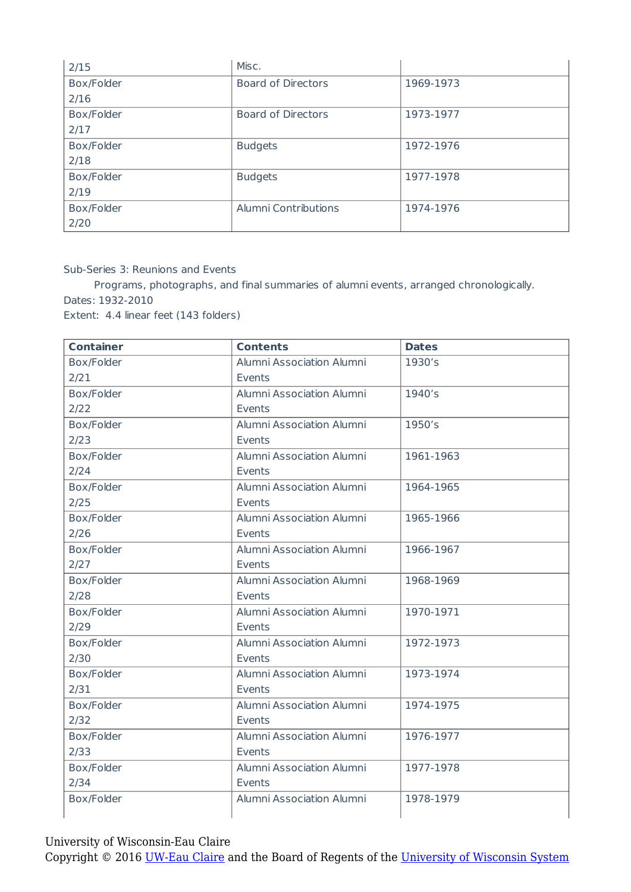| 2/15       | Misc.                     |           |
|------------|---------------------------|-----------|
| Box/Folder | <b>Board of Directors</b> | 1969-1973 |
| 2/16       |                           |           |
| Box/Folder | <b>Board of Directors</b> | 1973-1977 |
| 2/17       |                           |           |
| Box/Folder | <b>Budgets</b>            | 1972-1976 |
| 2/18       |                           |           |
| Box/Folder | <b>Budgets</b>            | 1977-1978 |
| 2/19       |                           |           |
| Box/Folder | Alumni Contributions      | 1974-1976 |
| 2/20       |                           |           |

Sub-Series 3: Reunions and Events

Programs, photographs, and final summaries of alumni events, arranged chronologically. Dates: 1932-2010

Extent: 4.4 linear feet (143 folders)

| <b>Container</b> | <b>Contents</b>           | <b>Dates</b> |
|------------------|---------------------------|--------------|
| Box/Folder       | Alumni Association Alumni | 1930's       |
| 2/21             | Events                    |              |
| Box/Folder       | Alumni Association Alumni | 1940's       |
| 2/22             | Events                    |              |
| Box/Folder       | Alumni Association Alumni | 1950's       |
| 2/23             | Events                    |              |
| Box/Folder       | Alumni Association Alumni | 1961-1963    |
| 2/24             | Events                    |              |
| Box/Folder       | Alumni Association Alumni | 1964-1965    |
| 2/25             | Events                    |              |
| Box/Folder       | Alumni Association Alumni | 1965-1966    |
| 2/26             | Events                    |              |
| Box/Folder       | Alumni Association Alumni | 1966-1967    |
| 2/27             | Events                    |              |
| Box/Folder       | Alumni Association Alumni | 1968-1969    |
| 2/28             | Events                    |              |
| Box/Folder       | Alumni Association Alumni | 1970-1971    |
| 2/29             | Events                    |              |
| Box/Folder       | Alumni Association Alumni | 1972-1973    |
| 2/30             | Events                    |              |
| Box/Folder       | Alumni Association Alumni | 1973-1974    |
| 2/31             | Events                    |              |
| Box/Folder       | Alumni Association Alumni | 1974-1975    |
| 2/32             | Events                    |              |
| Box/Folder       | Alumni Association Alumni | 1976-1977    |
| 2/33             | Events                    |              |
| Box/Folder       | Alumni Association Alumni | 1977-1978    |
| 2/34             | Events                    |              |
| Box/Folder       | Alumni Association Alumni | 1978-1979    |
|                  |                           |              |

University of Wisconsin-Eau Claire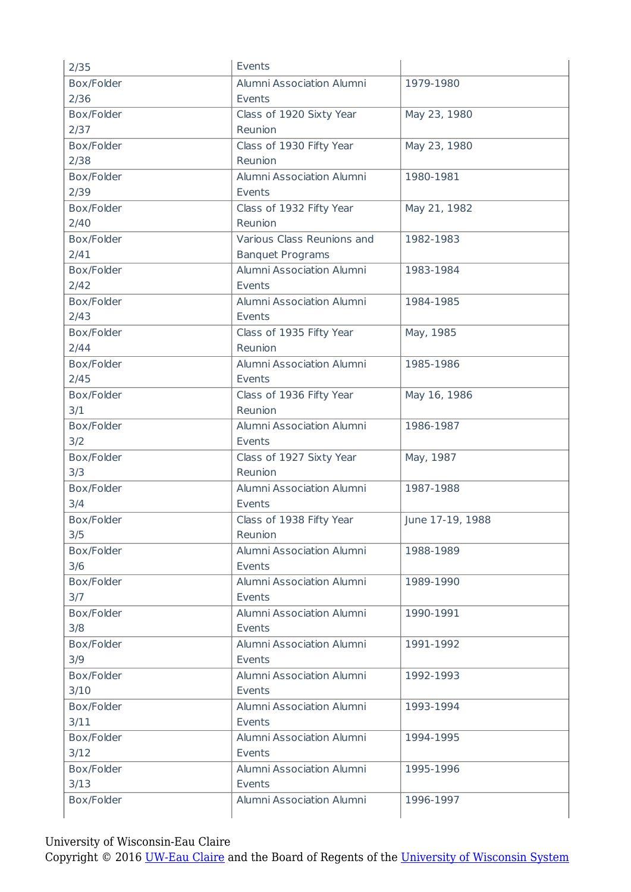| 2/35               | Events                              |                  |
|--------------------|-------------------------------------|------------------|
| Box/Folder         | Alumni Association Alumni           | 1979-1980        |
| 2/36               | Events                              |                  |
| Box/Folder         | Class of 1920 Sixty Year            | May 23, 1980     |
| 2/37               | Reunion                             |                  |
| Box/Folder         | Class of 1930 Fifty Year            | May 23, 1980     |
| 2/38               | Reunion                             |                  |
| Box/Folder         | Alumni Association Alumni           | 1980-1981        |
| 2/39               | Events                              |                  |
| Box/Folder         | Class of 1932 Fifty Year            | May 21, 1982     |
| 2/40               | Reunion                             |                  |
| Box/Folder         | Various Class Reunions and          | 1982-1983        |
| 2/41               | <b>Banquet Programs</b>             |                  |
| Box/Folder         | Alumni Association Alumni           | 1983-1984        |
| 2/42               | Events                              |                  |
| Box/Folder         | Alumni Association Alumni           | 1984-1985        |
| 2/43               | Events                              |                  |
| Box/Folder         | Class of 1935 Fifty Year            | May, 1985        |
| 2/44               | Reunion                             |                  |
| Box/Folder         | Alumni Association Alumni           | 1985-1986        |
| 2/45               | Events                              |                  |
| Box/Folder         | Class of 1936 Fifty Year            | May 16, 1986     |
| 3/1                | Reunion                             |                  |
| Box/Folder         | Alumni Association Alumni           | 1986-1987        |
| 3/2                | Events                              |                  |
| Box/Folder         | Class of 1927 Sixty Year            | May, 1987        |
| 3/3                | Reunion                             |                  |
| Box/Folder         | Alumni Association Alumni           | 1987-1988        |
| 3/4                | Events                              |                  |
| Box/Folder         | Class of 1938 Fifty Year            | June 17-19, 1988 |
| 3/5                | Reunion                             |                  |
| Box/Folder         | Alumni Association Alumni           | 1988-1989        |
| 3/6                | Events                              |                  |
| Box/Folder         | Alumni Association Alumni           | 1989-1990        |
| 3/7                | Events                              |                  |
| Box/Folder         | Alumni Association Alumni           | 1990-1991        |
| 3/8                | Events                              |                  |
| Box/Folder         | Alumni Association Alumni           | 1991-1992        |
| 3/9                | Events                              |                  |
| Box/Folder         | Alumni Association Alumni<br>Events | 1992-1993        |
| 3/10               | Alumni Association Alumni           |                  |
| Box/Folder         | Events                              | 1993-1994        |
| 3/11<br>Box/Folder | Alumni Association Alumni           |                  |
| 3/12               | Events                              | 1994-1995        |
| Box/Folder         | Alumni Association Alumni           | 1995-1996        |
| 3/13               | Events                              |                  |
| Box/Folder         | Alumni Association Alumni           | 1996-1997        |
|                    |                                     |                  |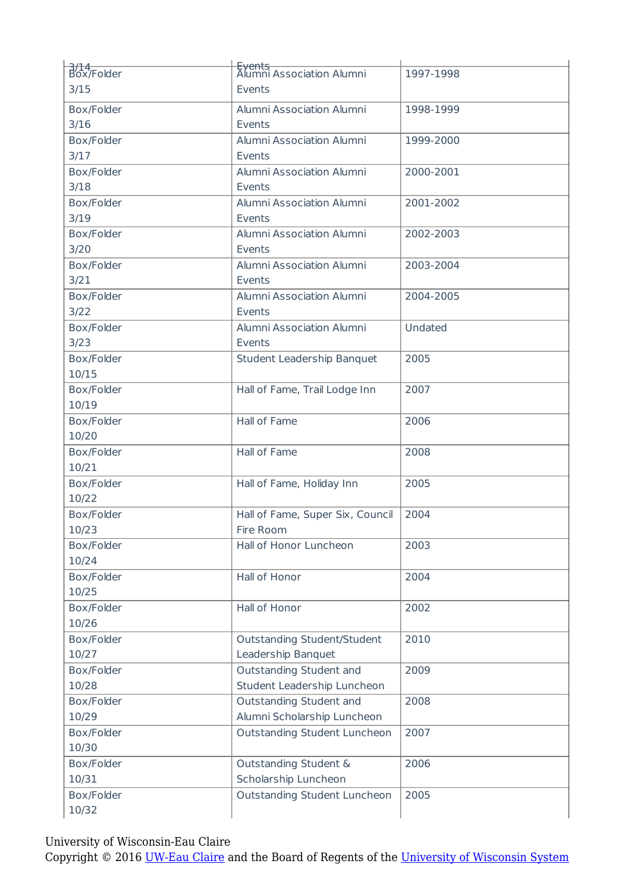| $\frac{1}{100}$ | <del>Events</del><br>Alumni Association Alumni | 1997-1998 |
|-----------------|------------------------------------------------|-----------|
| 3/15            | Events                                         |           |
| Box/Folder      | Alumni Association Alumni                      | 1998-1999 |
| $3/16$          | Events                                         |           |
| Box/Folder      | Alumni Association Alumni                      | 1999-2000 |
| 3/17            | Events                                         |           |
| Box/Folder      | Alumni Association Alumni                      | 2000-2001 |
| 3/18            | Events                                         |           |
| Box/Folder      | Alumni Association Alumni                      | 2001-2002 |
|                 |                                                |           |
| 3/19            | Events                                         |           |
| Box/Folder      | Alumni Association Alumni                      | 2002-2003 |
| 3/20            | Events                                         |           |
| Box/Folder      | Alumni Association Alumni                      | 2003-2004 |
| 3/21            | Events                                         |           |
| Box/Folder      | Alumni Association Alumni                      | 2004-2005 |
| $3/22$          | Events                                         |           |
| Box/Folder      | Alumni Association Alumni                      | Undated   |
| 3/23            | Events                                         |           |
| Box/Folder      | Student Leadership Banquet                     | 2005      |
| 10/15           |                                                |           |
| Box/Folder      | Hall of Fame, Trail Lodge Inn                  | 2007      |
| 10/19           |                                                |           |
| Box/Folder      | Hall of Fame                                   | 2006      |
| 10/20           |                                                |           |
| Box/Folder      | Hall of Fame                                   | 2008      |
| 10/21           |                                                |           |
| Box/Folder      | Hall of Fame, Holiday Inn                      | 2005      |
| 10/22           |                                                |           |
| Box/Folder      | Hall of Fame, Super Six, Council               | 2004      |
| 10/23           | Fire Room                                      |           |
| Box/Folder      | Hall of Honor Luncheon                         | 2003      |
| 10/24           |                                                |           |
| Box/Folder      | Hall of Honor                                  | 2004      |
| 10/25           |                                                |           |
| Box/Folder      | Hall of Honor                                  | 2002      |
| 10/26           |                                                |           |
| Box/Folder      | Outstanding Student/Student                    | 2010      |
| 10/27           | Leadership Banquet                             |           |
| Box/Folder      | Outstanding Student and                        | 2009      |
| 10/28           | Student Leadership Luncheon                    |           |
| Box/Folder      | Outstanding Student and                        | 2008      |
| 10/29           | Alumni Scholarship Luncheon                    |           |
| Box/Folder      | Outstanding Student Luncheon                   | 2007      |
| 10/30           |                                                |           |
|                 |                                                |           |
| Box/Folder      | Outstanding Student &                          | 2006      |
| 10/31           | Scholarship Luncheon                           |           |
| Box/Folder      | Outstanding Student Luncheon                   | 2005      |
| 10/32           |                                                |           |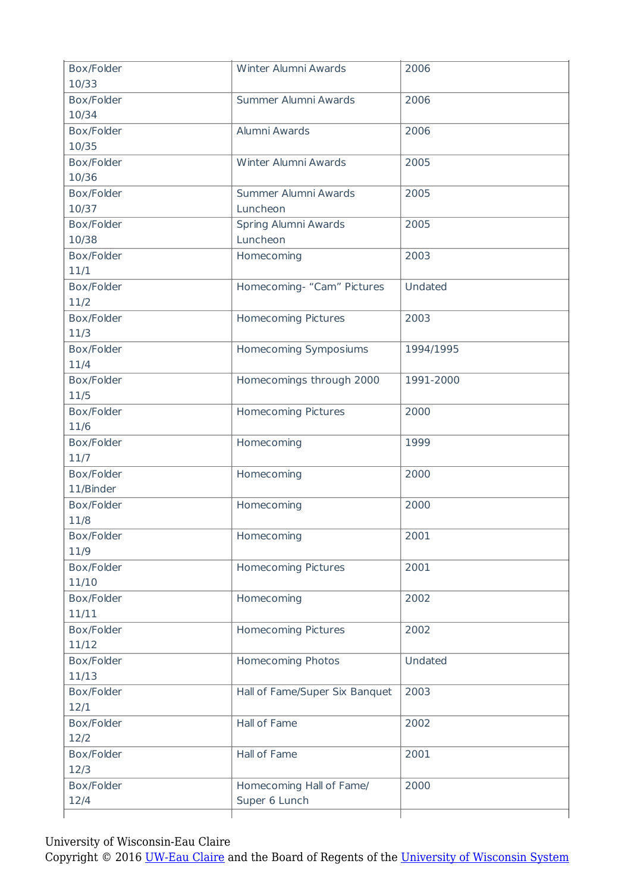| Box/Folder | Winter Alumni Awards           | 2006      |
|------------|--------------------------------|-----------|
| 10/33      |                                |           |
| Box/Folder | Summer Alumni Awards           | 2006      |
| 10/34      |                                |           |
| Box/Folder | Alumni Awards                  | 2006      |
| 10/35      |                                |           |
| Box/Folder | Winter Alumni Awards           | 2005      |
| 10/36      |                                |           |
| Box/Folder | Summer Alumni Awards           | 2005      |
| 10/37      | Luncheon                       |           |
| Box/Folder | Spring Alumni Awards           | 2005      |
| 10/38      | Luncheon                       |           |
| Box/Folder | Homecoming                     | 2003      |
| 11/1       |                                |           |
| Box/Folder | Homecoming- "Cam" Pictures     | Undated   |
| 11/2       |                                |           |
| Box/Folder | <b>Homecoming Pictures</b>     | 2003      |
| 11/3       |                                |           |
| Box/Folder | Homecoming Symposiums          | 1994/1995 |
| 11/4       |                                |           |
| Box/Folder | Homecomings through 2000       | 1991-2000 |
| 11/5       |                                |           |
| Box/Folder | <b>Homecoming Pictures</b>     | 2000      |
| 11/6       |                                |           |
| Box/Folder | Homecoming                     | 1999      |
| 11/7       |                                |           |
| Box/Folder | Homecoming                     | 2000      |
| 11/Binder  |                                |           |
| Box/Folder | Homecoming                     | 2000      |
| 11/8       |                                |           |
| Box/Folder | Homecoming                     | 2001      |
| 11/9       |                                |           |
| Box/Folder | <b>Homecoming Pictures</b>     | 2001      |
| 11/10      |                                |           |
| Box/Folder | Homecoming                     | 2002      |
| 11/11      |                                |           |
| Box/Folder | <b>Homecoming Pictures</b>     | 2002      |
| 11/12      |                                |           |
| Box/Folder | Homecoming Photos              | Undated   |
| 11/13      |                                |           |
| Box/Folder | Hall of Fame/Super Six Banquet | 2003      |
| 12/1       |                                |           |
| Box/Folder | Hall of Fame                   | 2002      |
| 12/2       |                                |           |
| Box/Folder | Hall of Fame                   | 2001      |
| 12/3       |                                |           |
| Box/Folder | Homecoming Hall of Fame/       | 2000      |
| 12/4       | Super 6 Lunch                  |           |
|            |                                |           |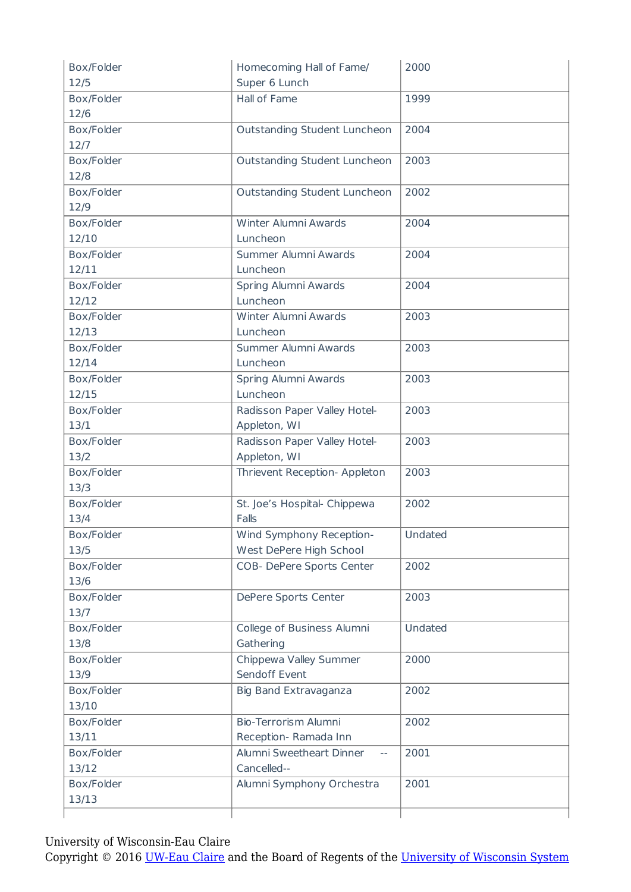| Box/Folder | Homecoming Hall of Fame/          | 2000    |
|------------|-----------------------------------|---------|
| 12/5       | Super 6 Lunch                     |         |
| Box/Folder | Hall of Fame                      | 1999    |
| 12/6       |                                   |         |
| Box/Folder | Outstanding Student Luncheon      | 2004    |
| 12/7       |                                   |         |
| Box/Folder | Outstanding Student Luncheon      | 2003    |
| 12/8       |                                   |         |
| Box/Folder | Outstanding Student Luncheon      | 2002    |
| 12/9       |                                   |         |
| Box/Folder | Winter Alumni Awards              | 2004    |
| 12/10      | Luncheon                          |         |
| Box/Folder | Summer Alumni Awards              | 2004    |
| 12/11      | Luncheon                          |         |
| Box/Folder | Spring Alumni Awards              | 2004    |
| 12/12      | Luncheon                          |         |
| Box/Folder | Winter Alumni Awards              | 2003    |
| 12/13      | Luncheon                          |         |
| Box/Folder | Summer Alumni Awards              | 2003    |
| 12/14      | Luncheon                          |         |
| Box/Folder | Spring Alumni Awards              | 2003    |
| 12/15      | Luncheon                          |         |
| Box/Folder | Radisson Paper Valley Hotel-      | 2003    |
| 13/1       | Appleton, WI                      |         |
| Box/Folder | Radisson Paper Valley Hotel-      | 2003    |
| 13/2       | Appleton, WI                      |         |
| Box/Folder | Thrievent Reception- Appleton     | 2003    |
| 13/3       |                                   |         |
| Box/Folder | St. Joe's Hospital- Chippewa      | 2002    |
| 13/4       | Falls                             |         |
| Box/Folder | Wind Symphony Reception-          | Undated |
| 13/5       | West DePere High School           |         |
| Box/Folder | COB- DePere Sports Center         | 2002    |
| 13/6       |                                   |         |
| Box/Folder | DePere Sports Center              | 2003    |
| 13/7       |                                   |         |
| Box/Folder | College of Business Alumni        | Undated |
| 13/8       | Gathering                         |         |
| Box/Folder | Chippewa Valley Summer            | 2000    |
| 13/9       | Sendoff Event                     |         |
| Box/Folder | Big Band Extravaganza             | 2002    |
| 13/10      |                                   |         |
| Box/Folder | <b>Bio-Terrorism Alumni</b>       | 2002    |
| 13/11      | Reception-Ramada Inn              |         |
| Box/Folder | Alumni Sweetheart Dinner<br>$- -$ | 2001    |
| 13/12      | Cancelled--                       |         |
| Box/Folder | Alumni Symphony Orchestra         | 2001    |
| 13/13      |                                   |         |
|            |                                   |         |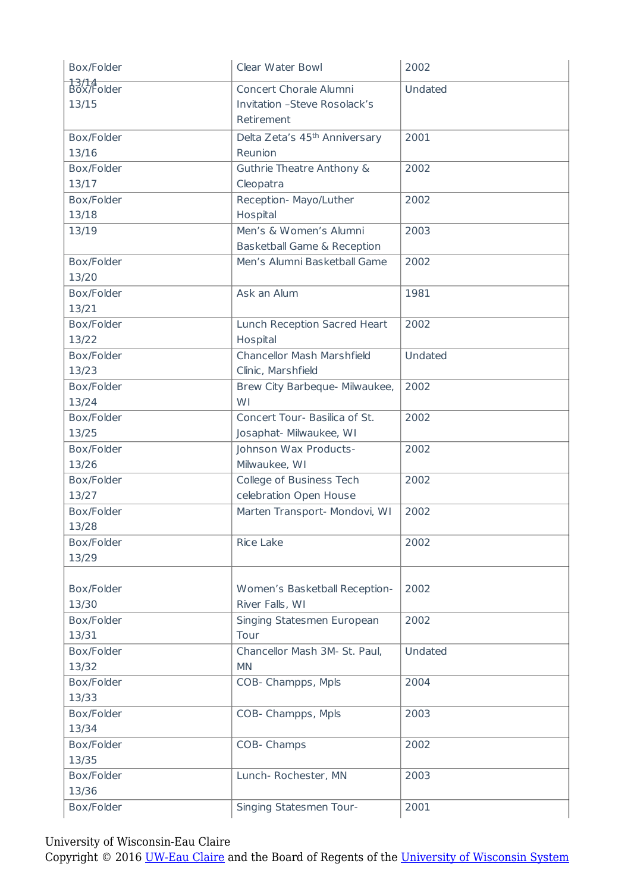| Box/Folder          | Clear Water Bowl                          | 2002    |
|---------------------|-------------------------------------------|---------|
| 13/14<br>Box/Folder | Concert Chorale Alumni                    | Undated |
| 13/15               | <b>Invitation -Steve Rosolack's</b>       |         |
|                     | Retirement                                |         |
| Box/Folder          | Delta Zeta's 45 <sup>th</sup> Anniversary | 2001    |
| 13/16               | Reunion                                   |         |
| Box/Folder          | Guthrie Theatre Anthony &                 | 2002    |
| 13/17               | Cleopatra                                 |         |
| Box/Folder          | Reception- Mayo/Luther                    | 2002    |
| 13/18               | Hospital                                  |         |
| 13/19               | Men's & Women's Alumni                    | 2003    |
|                     | Basketball Game & Reception               |         |
| Box/Folder          | Men's Alumni Basketball Game              | 2002    |
| 13/20               |                                           |         |
| Box/Folder          | Ask an Alum                               | 1981    |
| 13/21               |                                           |         |
| Box/Folder          | Lunch Reception Sacred Heart              | 2002    |
| 13/22               | Hospital                                  |         |
| Box/Folder          | Chancellor Mash Marshfield                | Undated |
| 13/23               | Clinic, Marshfield                        |         |
| Box/Folder          | Brew City Barbeque- Milwaukee,            | 2002    |
| 13/24               | WI                                        |         |
| Box/Folder          | Concert Tour- Basilica of St.             | 2002    |
| 13/25               | Josaphat- Milwaukee, WI                   |         |
| Box/Folder          | Johnson Wax Products-                     | 2002    |
| 13/26               | Milwaukee, WI                             |         |
| Box/Folder          | College of Business Tech                  | 2002    |
| 13/27               | celebration Open House                    |         |
| Box/Folder          | Marten Transport- Mondovi, WI             | 2002    |
| 13/28               |                                           |         |
| Box/Folder          | <b>Rice Lake</b>                          | 2002    |
| 13/29               |                                           |         |
|                     |                                           |         |
| Box/Folder          | Women's Basketball Reception-             | 2002    |
| 13/30               | River Falls, WI                           |         |
| Box/Folder          | Singing Statesmen European                | 2002    |
| 13/31               | Tour                                      |         |
| Box/Folder          | Chancellor Mash 3M- St. Paul,             | Undated |
| 13/32               | <b>MN</b>                                 |         |
| Box/Folder          | COB- Champps, Mpls                        | 2004    |
| 13/33               |                                           |         |
| Box/Folder          | COB- Champps, Mpls                        | 2003    |
| 13/34               |                                           |         |
| Box/Folder          | COB- Champs                               | 2002    |
| 13/35               |                                           |         |
| Box/Folder          | Lunch- Rochester, MN                      | 2003    |
| 13/36               |                                           |         |
| Box/Folder          | Singing Statesmen Tour-                   | 2001    |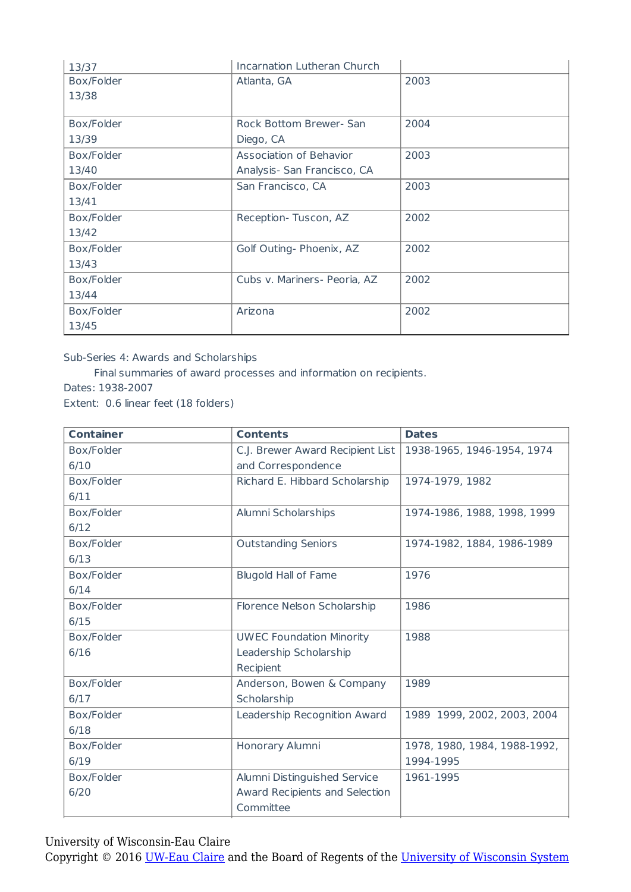| 13/37      | Incarnation Lutheran Church  |      |
|------------|------------------------------|------|
| Box/Folder | Atlanta, GA                  | 2003 |
| 13/38      |                              |      |
|            |                              |      |
| Box/Folder | Rock Bottom Brewer- San      | 2004 |
| 13/39      | Diego, CA                    |      |
| Box/Folder | Association of Behavior      | 2003 |
| 13/40      | Analysis- San Francisco, CA  |      |
| Box/Folder | San Francisco, CA            | 2003 |
| 13/41      |                              |      |
| Box/Folder | Reception-Tuscon, AZ         | 2002 |
| 13/42      |                              |      |
| Box/Folder | Golf Outing- Phoenix, AZ     | 2002 |
| 13/43      |                              |      |
| Box/Folder | Cubs v. Mariners- Peoria, AZ | 2002 |
| 13/44      |                              |      |
| Box/Folder | Arizona                      | 2002 |
| 13/45      |                              |      |

Sub-Series 4: Awards and Scholarships

Final summaries of award processes and information on recipients.

Dates: 1938-2007

Extent: 0.6 linear feet (18 folders)

| <b>Container</b> | <b>Contents</b>                  | <b>Dates</b>                 |
|------------------|----------------------------------|------------------------------|
| Box/Folder       | C.J. Brewer Award Recipient List | 1938-1965, 1946-1954, 1974   |
| 6/10             | and Correspondence               |                              |
| Box/Folder       | Richard E. Hibbard Scholarship   | 1974-1979, 1982              |
| 6/11             |                                  |                              |
| Box/Folder       | Alumni Scholarships              | 1974-1986, 1988, 1998, 1999  |
| 6/12             |                                  |                              |
| Box/Folder       | <b>Outstanding Seniors</b>       | 1974-1982, 1884, 1986-1989   |
| 6/13             |                                  |                              |
| Box/Folder       | <b>Blugold Hall of Fame</b>      | 1976                         |
| 6/14             |                                  |                              |
| Box/Folder       | Florence Nelson Scholarship      | 1986                         |
| 6/15             |                                  |                              |
| Box/Folder       | <b>UWEC Foundation Minority</b>  | 1988                         |
| 6/16             | Leadership Scholarship           |                              |
|                  | Recipient                        |                              |
| Box/Folder       | Anderson, Bowen & Company        | 1989                         |
| 6/17             | Scholarship                      |                              |
| Box/Folder       | Leadership Recognition Award     | 1989 1999, 2002, 2003, 2004  |
| 6/18             |                                  |                              |
| Box/Folder       | Honorary Alumni                  | 1978, 1980, 1984, 1988-1992, |
| 6/19             |                                  | 1994-1995                    |
| Box/Folder       | Alumni Distinguished Service     | 1961-1995                    |
| 6/20             | Award Recipients and Selection   |                              |
|                  | Committee                        |                              |

University of Wisconsin-Eau Claire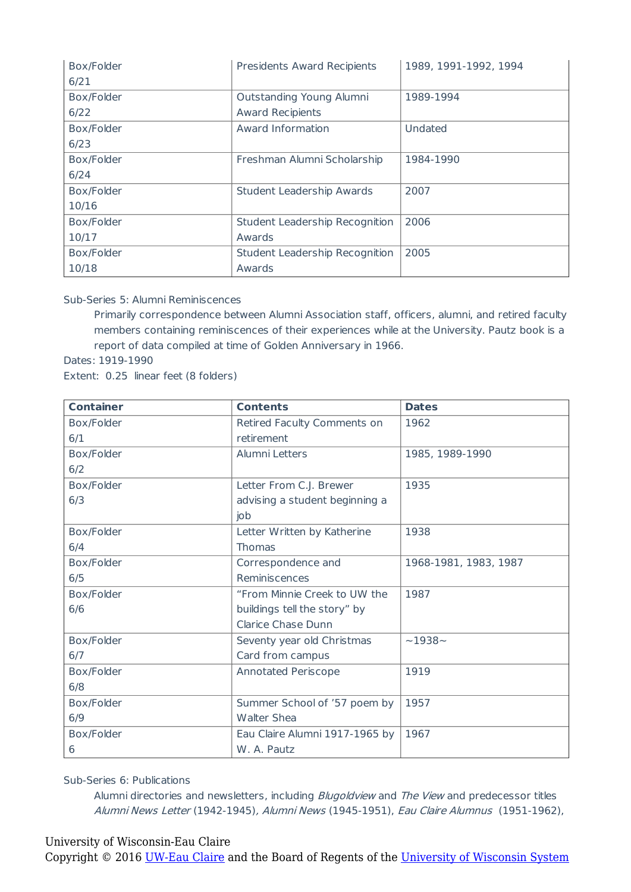| Box/Folder | Presidents Award Recipients    | 1989, 1991-1992, 1994 |
|------------|--------------------------------|-----------------------|
| 6/21       |                                |                       |
| Box/Folder | Outstanding Young Alumni       | 1989-1994             |
| 6/22       | <b>Award Recipients</b>        |                       |
| Box/Folder | Award Information              | Undated               |
| 6/23       |                                |                       |
| Box/Folder | Freshman Alumni Scholarship    | 1984-1990             |
| 6/24       |                                |                       |
| Box/Folder | Student Leadership Awards      | 2007                  |
| 10/16      |                                |                       |
| Box/Folder | Student Leadership Recognition | 2006                  |
| 10/17      | Awards                         |                       |
| Box/Folder | Student Leadership Recognition | 2005                  |
| 10/18      | Awards                         |                       |

Sub-Series 5: Alumni Reminiscences

Primarily correspondence between Alumni Association staff, officers, alumni, and retired faculty members containing reminiscences of their experiences while at the University. Pautz book is a report of data compiled at time of Golden Anniversary in 1966.

Dates: 1919-1990

Extent: 0.25 linear feet (8 folders)

| <b>Container</b> | <b>Contents</b>                | <b>Dates</b>          |
|------------------|--------------------------------|-----------------------|
| Box/Folder       | Retired Faculty Comments on    | 1962                  |
| 6/1              | retirement                     |                       |
| Box/Folder       | Alumni Letters                 | 1985, 1989-1990       |
| 6/2              |                                |                       |
| Box/Folder       | Letter From C.J. Brewer        | 1935                  |
| 6/3              | advising a student beginning a |                       |
|                  | job                            |                       |
| Box/Folder       | Letter Written by Katherine    | 1938                  |
| 6/4              | <b>Thomas</b>                  |                       |
| Box/Folder       | Correspondence and             | 1968-1981, 1983, 1987 |
| 6/5              | Reminiscences                  |                       |
| Box/Folder       | "From Minnie Creek to UW the   | 1987                  |
| 6/6              | buildings tell the story" by   |                       |
|                  | <b>Clarice Chase Dunn</b>      |                       |
| Box/Folder       | Seventy year old Christmas     | $~1938-$              |
| 6/7              | Card from campus               |                       |
| Box/Folder       | <b>Annotated Periscope</b>     | 1919                  |
| 6/8              |                                |                       |
| Box/Folder       | Summer School of '57 poem by   | 1957                  |
| 6/9              | <b>Walter Shea</b>             |                       |
| Box/Folder       | Eau Claire Alumni 1917-1965 by | 1967                  |
| 6                | W. A. Pautz                    |                       |

Sub-Series 6: Publications

Alumni directories and newsletters, including *Blugoldview* and *The View* and predecessor titles Alumni News Letter (1942-1945), Alumni News (1945-1951), Eau Claire Alumnus (1951-1962),

#### University of Wisconsin-Eau Claire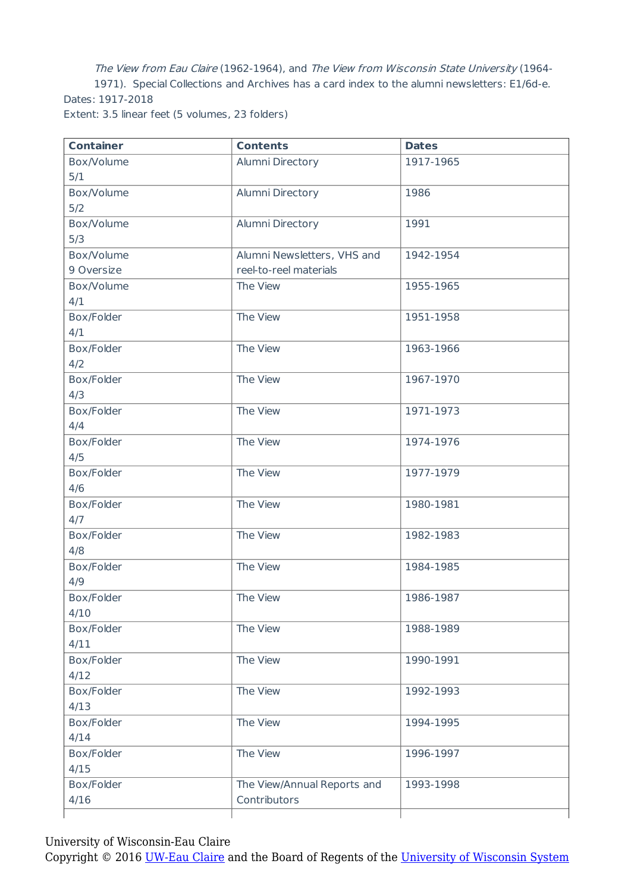The View from Eau Claire (1962-1964), and The View from Wisconsin State University (1964- 1971). Special Collections and Archives has a card index to the alumni newsletters: E1/6d-e. Dates: 1917-2018 Extent: 3.5 linear feet (5 volumes, 23 folders)

| <b>Container</b> | <b>Contents</b>             | <b>Dates</b> |
|------------------|-----------------------------|--------------|
| Box/Volume       | Alumni Directory            | 1917-1965    |
| 5/1              |                             |              |
| Box/Volume       | Alumni Directory            | 1986         |
| 5/2              |                             |              |
| Box/Volume       | Alumni Directory            | 1991         |
| 5/3              |                             |              |
| Box/Volume       | Alumni Newsletters, VHS and | 1942-1954    |
| 9 Oversize       | reel-to-reel materials      |              |
| Box/Volume       | The View                    | 1955-1965    |
| 4/1              |                             |              |
| Box/Folder       | The View                    | 1951-1958    |
| 4/1              |                             |              |
| Box/Folder       | The View                    | 1963-1966    |
| 4/2              |                             |              |
| Box/Folder       | The View                    | 1967-1970    |
| 4/3              |                             |              |
| Box/Folder       | The View                    | 1971-1973    |
| 4/4              |                             |              |
| Box/Folder       | The View                    | 1974-1976    |
| 4/5              |                             |              |
| Box/Folder       | The View                    | 1977-1979    |
| 4/6              |                             |              |
| Box/Folder       | The View                    | 1980-1981    |
| 4/7              |                             |              |
| Box/Folder       | The View                    | 1982-1983    |
| 4/8              |                             |              |
| Box/Folder       | The View                    | 1984-1985    |
| 4/9              |                             |              |
| Box/Folder       | The View                    | 1986-1987    |
| 4/10             |                             |              |
| Box/Folder       | The View                    | 1988-1989    |
| 4/11             |                             |              |
| Box/Folder       | The View                    | 1990-1991    |
| 4/12             |                             |              |
| Box/Folder       | The View                    | 1992-1993    |
| 4/13             |                             |              |
| Box/Folder       | The View                    | 1994-1995    |
| 4/14             |                             |              |
| Box/Folder       | The View                    | 1996-1997    |
| 4/15             |                             |              |
| Box/Folder       | The View/Annual Reports and | 1993-1998    |
| 4/16             | Contributors                |              |
|                  |                             |              |

University of Wisconsin-Eau Claire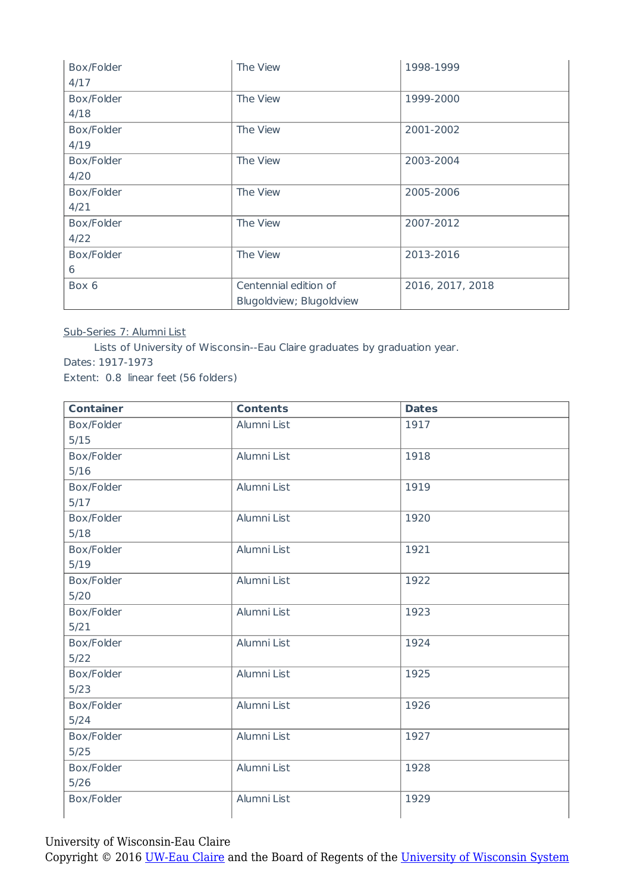| Box/Folder | The View                 | 1998-1999        |
|------------|--------------------------|------------------|
| 4/17       |                          |                  |
| Box/Folder | The View                 | 1999-2000        |
| 4/18       |                          |                  |
| Box/Folder | The View                 | 2001-2002        |
| 4/19       |                          |                  |
| Box/Folder | The View                 | 2003-2004        |
| 4/20       |                          |                  |
| Box/Folder | The View                 | 2005-2006        |
| 4/21       |                          |                  |
| Box/Folder | The View                 | 2007-2012        |
| 4/22       |                          |                  |
| Box/Folder | The View                 | 2013-2016        |
| 6          |                          |                  |
| Box 6      | Centennial edition of    | 2016, 2017, 2018 |
|            | Blugoldview; Blugoldview |                  |

#### Sub-Series 7: Alumni List

Lists of University of Wisconsin--Eau Claire graduates by graduation year. Dates: 1917-1973 Extent: 0.8 linear feet (56 folders)

| <b>Container</b> | <b>Contents</b> | <b>Dates</b> |
|------------------|-----------------|--------------|
| Box/Folder       | Alumni List     | 1917         |
| 5/15             |                 |              |
| Box/Folder       | Alumni List     | 1918         |
| $5/16$           |                 |              |
| Box/Folder       | Alumni List     | 1919         |
| $5/17$           |                 |              |
| Box/Folder       | Alumni List     | 1920         |
| 5/18             |                 |              |
| Box/Folder       | Alumni List     | 1921         |
| 5/19             |                 |              |
| Box/Folder       | Alumni List     | 1922         |
| $5/20$           |                 |              |
| Box/Folder       | Alumni List     | 1923         |
| 5/21             |                 |              |
| Box/Folder       | Alumni List     | 1924         |
| 5/22             |                 |              |
| Box/Folder       | Alumni List     | 1925         |
| 5/23             |                 |              |
| Box/Folder       | Alumni List     | 1926         |
| 5/24             |                 |              |
| Box/Folder       | Alumni List     | 1927         |
| 5/25             |                 |              |
| Box/Folder       | Alumni List     | 1928         |
| 5/26             |                 |              |
| Box/Folder       | Alumni List     | 1929         |
|                  |                 |              |

University of Wisconsin-Eau Claire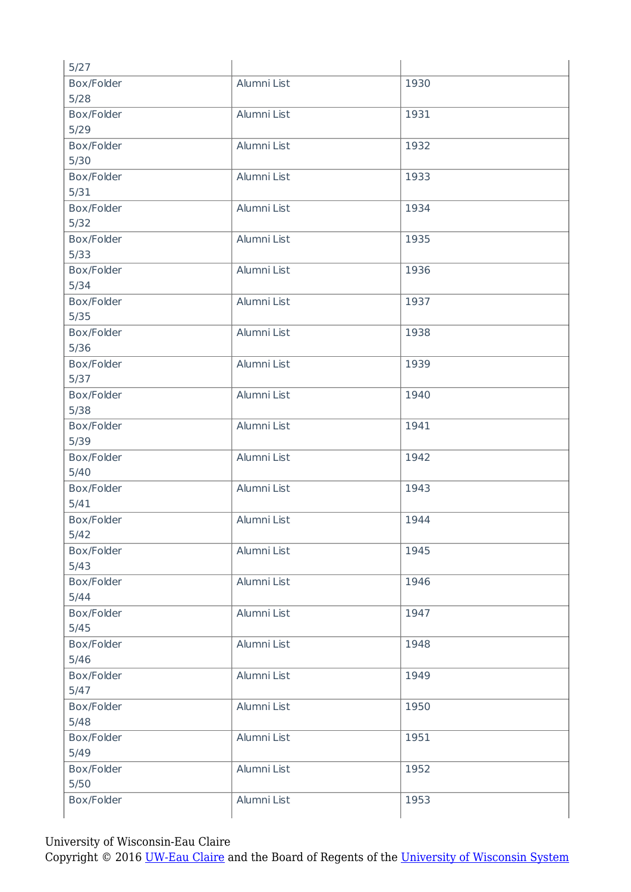| 5/27       |             |      |
|------------|-------------|------|
| Box/Folder | Alumni List | 1930 |
| 5/28       |             |      |
| Box/Folder | Alumni List | 1931 |
| 5/29       |             |      |
| Box/Folder | Alumni List | 1932 |
| 5/30       |             |      |
| Box/Folder | Alumni List | 1933 |
| 5/31       |             |      |
| Box/Folder | Alumni List | 1934 |
| $5/32$     |             |      |
| Box/Folder | Alumni List | 1935 |
| 5/33       |             |      |
| Box/Folder | Alumni List | 1936 |
| 5/34       |             |      |
| Box/Folder | Alumni List | 1937 |
| 5/35       |             |      |
| Box/Folder | Alumni List | 1938 |
| 5/36       |             |      |
| Box/Folder | Alumni List | 1939 |
| $5/37$     |             |      |
| Box/Folder | Alumni List | 1940 |
| 5/38       |             |      |
| Box/Folder | Alumni List | 1941 |
| 5/39       |             |      |
| Box/Folder | Alumni List | 1942 |
| $5/40$     |             |      |
| Box/Folder | Alumni List | 1943 |
| 5/41       |             |      |
| Box/Folder | Alumni List | 1944 |
| 5/42       |             |      |
| Box/Folder | Alumni List | 1945 |
| 5/43       |             |      |
| Box/Folder | Alumni List | 1946 |
| 5/44       |             |      |
| Box/Folder | Alumni List | 1947 |
| 5/45       |             |      |
| Box/Folder | Alumni List | 1948 |
| $5/46$     |             |      |
| Box/Folder | Alumni List | 1949 |
| 5/47       |             |      |
| Box/Folder | Alumni List | 1950 |
| 5/48       |             |      |
| Box/Folder | Alumni List | 1951 |
| 5/49       |             |      |
| Box/Folder | Alumni List | 1952 |
| $5/50$     |             |      |
| Box/Folder | Alumni List | 1953 |
|            |             |      |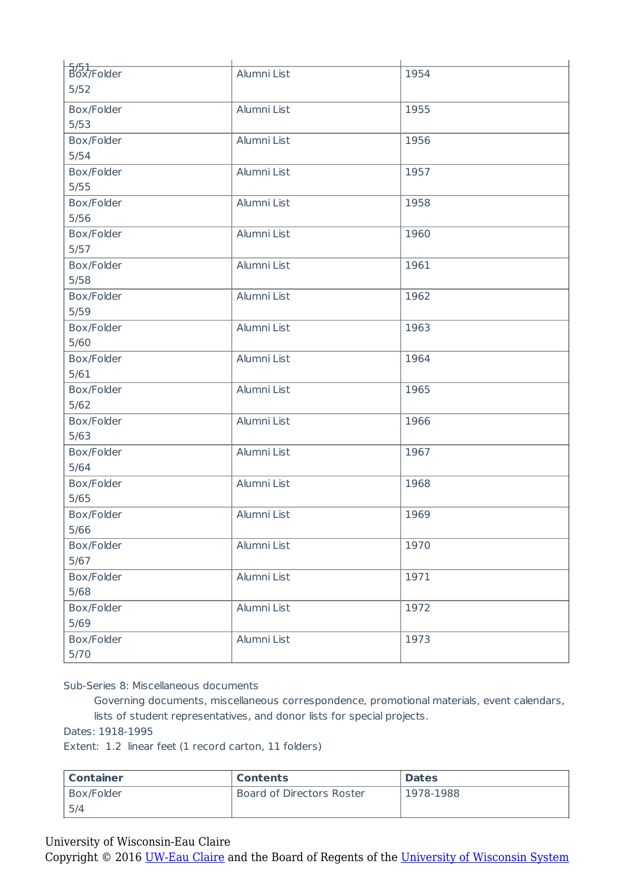| $\frac{5}{5}$ /51<br>Box/Folder | Alumni List | 1954 |
|---------------------------------|-------------|------|
| $5/52$                          |             |      |
|                                 |             |      |
| Box/Folder                      | Alumni List | 1955 |
| 5/53                            |             |      |
| Box/Folder                      | Alumni List | 1956 |
| $5/54$                          |             |      |
| Box/Folder                      | Alumni List | 1957 |
| 5/55                            |             |      |
| Box/Folder                      | Alumni List | 1958 |
| $5/56$                          |             |      |
| Box/Folder                      | Alumni List | 1960 |
| $5/57$                          |             |      |
| Box/Folder                      | Alumni List | 1961 |
| $5/58$                          |             |      |
| Box/Folder                      | Alumni List | 1962 |
| $5/59$                          |             |      |
| Box/Folder                      | Alumni List | 1963 |
| $5/60$                          |             |      |
| Box/Folder                      | Alumni List | 1964 |
| $5/61$                          |             |      |
| Box/Folder                      | Alumni List | 1965 |
| 5/62                            |             |      |
| Box/Folder                      | Alumni List | 1966 |
| 5/63                            |             |      |
| Box/Folder                      | Alumni List | 1967 |
| $5/64$                          |             |      |
| Box/Folder                      | Alumni List | 1968 |
| $5/65$                          |             |      |
| Box/Folder                      | Alumni List | 1969 |
| 5/66                            |             |      |
| Box/Folder                      | Alumni List | 1970 |
| 5/67                            |             |      |
| Box/Folder                      | Alumni List | 1971 |
| 5/68                            |             |      |
| Box/Folder                      | Alumni List | 1972 |
| 5/69                            |             |      |
| Box/Folder                      | Alumni List | 1973 |
| 5/70                            |             |      |
|                                 |             |      |

Sub-Series 8: Miscellaneous documents

Governing documents, miscellaneous correspondence, promotional materials, event calendars, lists of student representatives, and donor lists for special projects.

Dates: 1918-1995

Extent: 1.2 linear feet (1 record carton, 11 folders)

| Container  | <b>Contents</b>           | <b>Dates</b> |
|------------|---------------------------|--------------|
| Box/Folder | Board of Directors Roster | 1978-1988    |
| 5/4        |                           |              |

#### University of Wisconsin-Eau Claire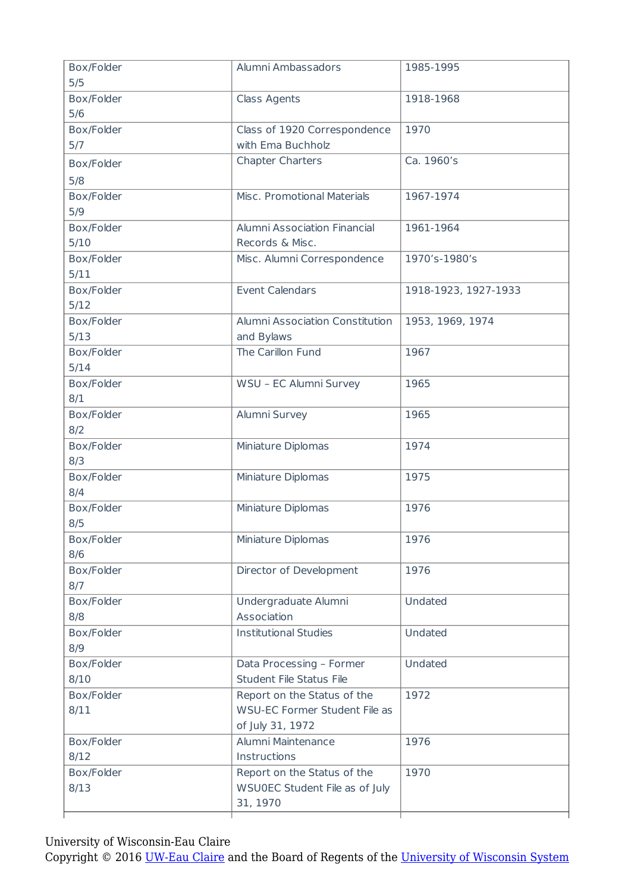| Box/Folder        | Alumni Ambassadors              | 1985-1995            |
|-------------------|---------------------------------|----------------------|
| 5/5               |                                 |                      |
| Box/Folder<br>5/6 | <b>Class Agents</b>             | 1918-1968            |
| Box/Folder        | Class of 1920 Correspondence    | 1970                 |
| 5/7               | with Ema Buchholz               |                      |
| Box/Folder        | <b>Chapter Charters</b>         | Ca. 1960's           |
| 5/8               |                                 |                      |
| Box/Folder        | Misc. Promotional Materials     | 1967-1974            |
| 5/9               |                                 |                      |
| Box/Folder        | Alumni Association Financial    | 1961-1964            |
| 5/10              | Records & Misc.                 |                      |
| Box/Folder        | Misc. Alumni Correspondence     | 1970's-1980's        |
| 5/11              |                                 |                      |
| Box/Folder        | <b>Event Calendars</b>          | 1918-1923, 1927-1933 |
| 5/12              |                                 |                      |
| Box/Folder        | Alumni Association Constitution | 1953, 1969, 1974     |
| 5/13              | and Bylaws                      |                      |
| Box/Folder        | The Carillon Fund               | 1967                 |
| 5/14              |                                 |                      |
| Box/Folder        | WSU - EC Alumni Survey          | 1965                 |
| 8/1               |                                 |                      |
| Box/Folder        | Alumni Survey                   | 1965                 |
| 8/2               |                                 |                      |
| Box/Folder        | Miniature Diplomas              | 1974                 |
| 8/3               |                                 |                      |
| Box/Folder        | Miniature Diplomas              | 1975                 |
| 8/4               |                                 |                      |
| Box/Folder        | Miniature Diplomas              | 1976                 |
| 8/5               |                                 |                      |
| Box/Folder        | Miniature Diplomas              | 1976                 |
| 8/6               |                                 |                      |
| Box/Folder        | Director of Development         | 1976                 |
| 8/7               |                                 |                      |
| Box/Folder        | Undergraduate Alumni            | Undated              |
| 8/8               | Association                     |                      |
| Box/Folder        | <b>Institutional Studies</b>    | Undated              |
| 8/9               |                                 |                      |
| Box/Folder        | Data Processing - Former        | Undated              |
| 8/10              | Student File Status File        |                      |
| Box/Folder        | Report on the Status of the     | 1972                 |
| 8/11              | WSU-EC Former Student File as   |                      |
|                   | of July 31, 1972                |                      |
| Box/Folder        | Alumni Maintenance              | 1976                 |
| 8/12              | Instructions                    |                      |
| Box/Folder        | Report on the Status of the     | 1970                 |
| 8/13              | WSU0EC Student File as of July  |                      |
|                   | 31, 1970                        |                      |
|                   |                                 |                      |